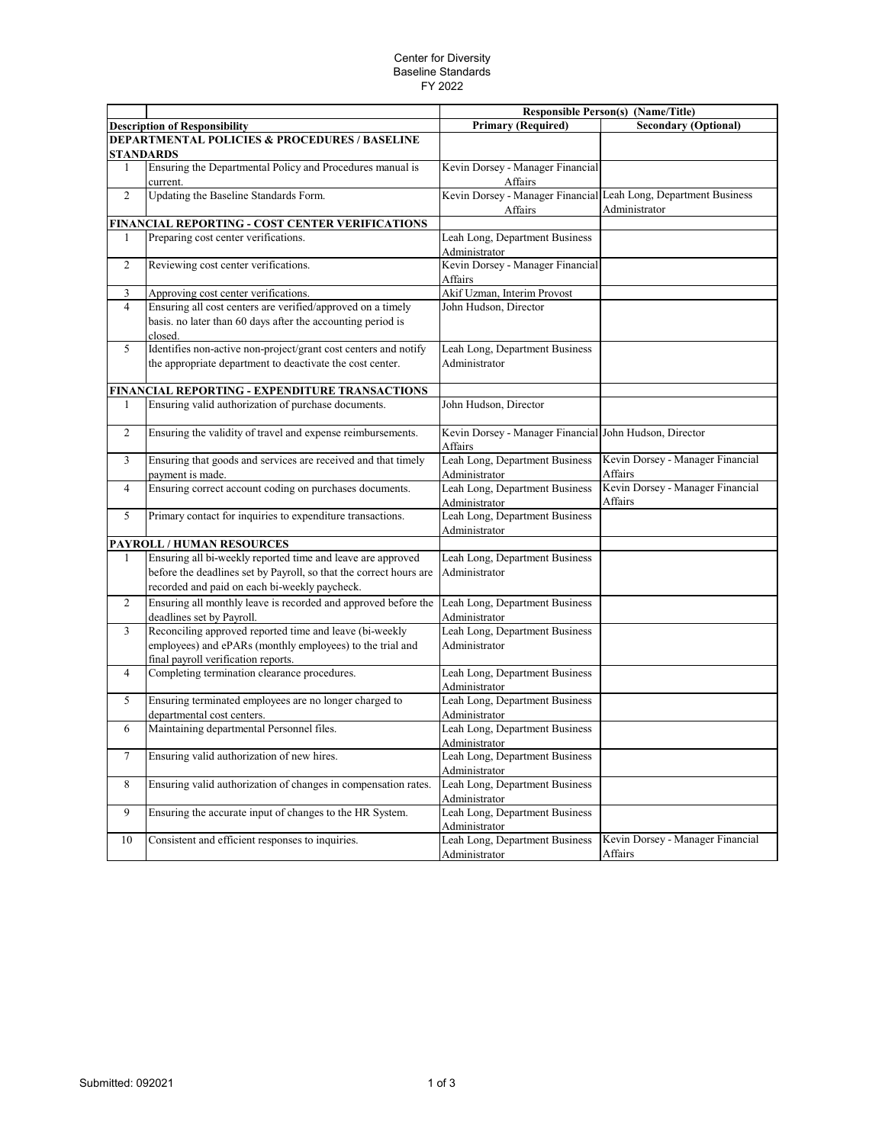## Center for Diversity Baseline Standards FY 2022

|                |                                                                                                                      |                                                                            | <b>Responsible Person(s) (Name/Title)</b>   |
|----------------|----------------------------------------------------------------------------------------------------------------------|----------------------------------------------------------------------------|---------------------------------------------|
|                | <b>Description of Responsibility</b>                                                                                 | <b>Primary (Required)</b>                                                  | <b>Secondary (Optional)</b>                 |
|                | <b>DEPARTMENTAL POLICIES &amp; PROCEDURES / BASELINE</b><br><b>STANDARDS</b>                                         |                                                                            |                                             |
| 1              | Ensuring the Departmental Policy and Procedures manual is                                                            | Kevin Dorsey - Manager Financial                                           |                                             |
|                | current.                                                                                                             | Affairs                                                                    |                                             |
| $\overline{2}$ | Updating the Baseline Standards Form.                                                                                | Kevin Dorsey - Manager Financial Leah Long, Department Business<br>Affairs | Administrator                               |
|                | FINANCIAL REPORTING - COST CENTER VERIFICATIONS                                                                      |                                                                            |                                             |
| 1              | Preparing cost center verifications.                                                                                 | Leah Long, Department Business                                             |                                             |
|                |                                                                                                                      | Administrator                                                              |                                             |
| $\overline{2}$ | Reviewing cost center verifications.                                                                                 | Kevin Dorsey - Manager Financial                                           |                                             |
| 3              | Approving cost center verifications.                                                                                 | Affairs<br>Akif Uzman, Interim Provost                                     |                                             |
| $\overline{4}$ | Ensuring all cost centers are verified/approved on a timely                                                          | John Hudson, Director                                                      |                                             |
|                | basis. no later than 60 days after the accounting period is<br>closed.                                               |                                                                            |                                             |
| 5              | Identifies non-active non-project/grant cost centers and notify                                                      | Leah Long, Department Business                                             |                                             |
|                | the appropriate department to deactivate the cost center.                                                            | Administrator                                                              |                                             |
|                | FINANCIAL REPORTING - EXPENDITURE TRANSACTIONS                                                                       |                                                                            |                                             |
|                | Ensuring valid authorization of purchase documents.                                                                  | John Hudson, Director                                                      |                                             |
| $\overline{2}$ | Ensuring the validity of travel and expense reimbursements.                                                          | Kevin Dorsey - Manager Financial John Hudson, Director<br><b>Affairs</b>   |                                             |
| 3              | Ensuring that goods and services are received and that timely<br>payment is made.                                    | Leah Long, Department Business<br>Administrator                            | Kevin Dorsey - Manager Financial<br>Affairs |
| $\overline{4}$ | Ensuring correct account coding on purchases documents.                                                              | Leah Long, Department Business<br>Administrator                            | Kevin Dorsey - Manager Financial<br>Affairs |
| 5              | Primary contact for inquiries to expenditure transactions.                                                           | Leah Long, Department Business<br>Administrator                            |                                             |
|                | PAYROLL / HUMAN RESOURCES                                                                                            |                                                                            |                                             |
| 1              | Ensuring all bi-weekly reported time and leave are approved                                                          | Leah Long, Department Business                                             |                                             |
|                | before the deadlines set by Payroll, so that the correct hours are<br>recorded and paid on each bi-weekly paycheck.  | Administrator                                                              |                                             |
| 2              | Ensuring all monthly leave is recorded and approved before the                                                       | Leah Long, Department Business                                             |                                             |
|                | deadlines set by Payroll.                                                                                            | Administrator                                                              |                                             |
| 3              | Reconciling approved reported time and leave (bi-weekly<br>employees) and ePARs (monthly employees) to the trial and | Leah Long, Department Business<br>Administrator                            |                                             |
|                | final payroll verification reports.                                                                                  |                                                                            |                                             |
| $\overline{4}$ | Completing termination clearance procedures.                                                                         | Leah Long, Department Business<br>Administrator                            |                                             |
| 5              | Ensuring terminated employees are no longer charged to                                                               | Leah Long, Department Business                                             |                                             |
|                | departmental cost centers.                                                                                           | Administrator                                                              |                                             |
| 6              | Maintaining departmental Personnel files.                                                                            | Leah Long, Department Business<br>Administrator                            |                                             |
| 7              | Ensuring valid authorization of new hires.                                                                           | Leah Long, Department Business                                             |                                             |
|                |                                                                                                                      | Administrator<br>Leah Long, Department Business                            |                                             |
| 8              | Ensuring valid authorization of changes in compensation rates.                                                       | Administrator                                                              |                                             |
| 9              | Ensuring the accurate input of changes to the HR System.                                                             | Leah Long, Department Business<br>Administrator                            |                                             |
| 10             | Consistent and efficient responses to inquiries.                                                                     | Leah Long, Department Business                                             | Kevin Dorsey - Manager Financial            |
|                |                                                                                                                      | Administrator                                                              | Affairs                                     |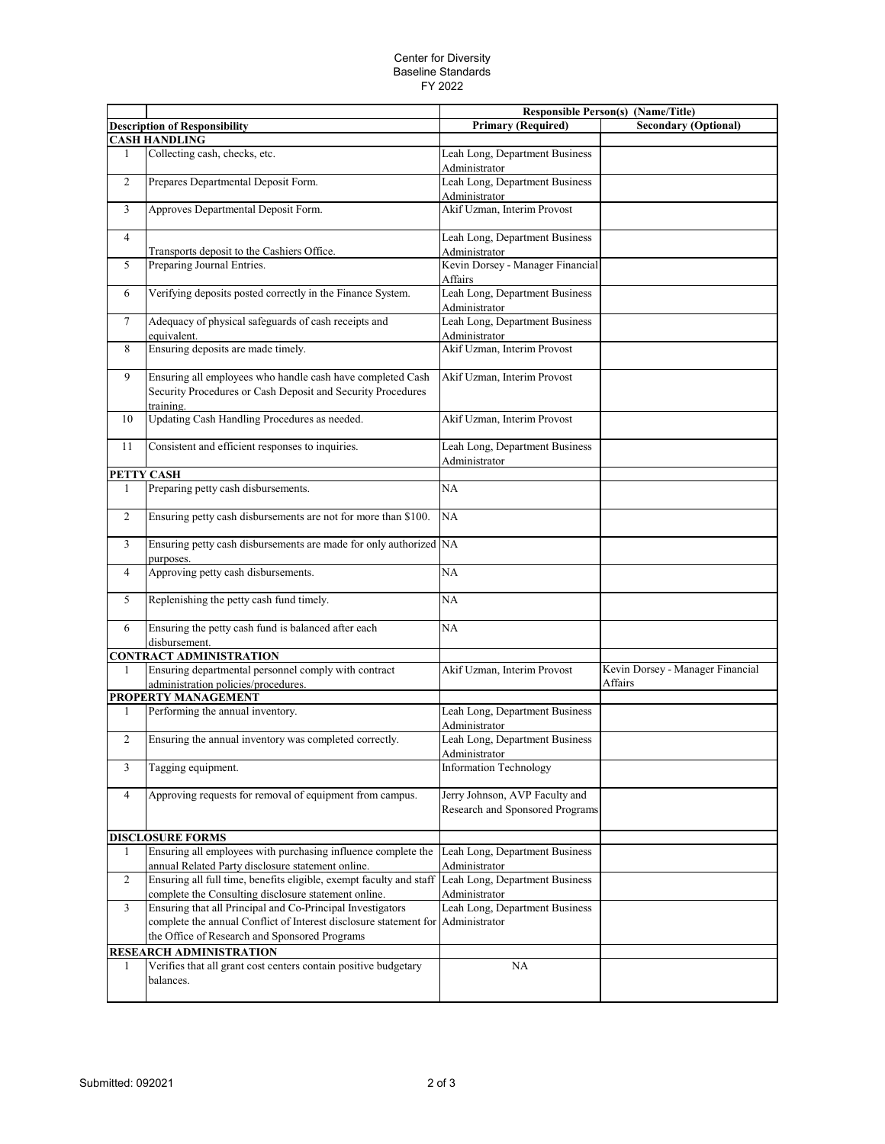## Center for Diversity Baseline Standards FY 2022

|                      |                                                                                                                                                                                                | <b>Responsible Person(s) (Name/Title)</b>                         |                                             |  |  |  |
|----------------------|------------------------------------------------------------------------------------------------------------------------------------------------------------------------------------------------|-------------------------------------------------------------------|---------------------------------------------|--|--|--|
|                      | <b>Description of Responsibility</b>                                                                                                                                                           | <b>Primary (Required)</b>                                         | <b>Secondary (Optional)</b>                 |  |  |  |
| <b>CASH HANDLING</b> |                                                                                                                                                                                                |                                                                   |                                             |  |  |  |
| 1                    | Collecting cash, checks, etc.                                                                                                                                                                  | Leah Long, Department Business<br>Administrator                   |                                             |  |  |  |
| 2                    | Prepares Departmental Deposit Form.                                                                                                                                                            | Leah Long, Department Business<br>Administrator                   |                                             |  |  |  |
| 3                    | Approves Departmental Deposit Form.                                                                                                                                                            | Akif Uzman, Interim Provost                                       |                                             |  |  |  |
| $\overline{4}$       | Transports deposit to the Cashiers Office.                                                                                                                                                     | Leah Long, Department Business<br>Administrator                   |                                             |  |  |  |
| 5                    | Preparing Journal Entries.                                                                                                                                                                     | Kevin Dorsey - Manager Financial<br>Affairs                       |                                             |  |  |  |
| 6                    | Verifying deposits posted correctly in the Finance System.                                                                                                                                     | Leah Long, Department Business<br>Administrator                   |                                             |  |  |  |
| $\overline{7}$       | Adequacy of physical safeguards of cash receipts and<br>equivalent.                                                                                                                            | Leah Long, Department Business<br>Administrator                   |                                             |  |  |  |
| 8                    | Ensuring deposits are made timely.                                                                                                                                                             | Akif Uzman, Interim Provost                                       |                                             |  |  |  |
| 9                    | Ensuring all employees who handle cash have completed Cash<br>Security Procedures or Cash Deposit and Security Procedures<br>training.                                                         | Akif Uzman, Interim Provost                                       |                                             |  |  |  |
| 10                   | Updating Cash Handling Procedures as needed.                                                                                                                                                   | Akif Uzman, Interim Provost                                       |                                             |  |  |  |
| 11                   | Consistent and efficient responses to inquiries.                                                                                                                                               | Leah Long, Department Business<br>Administrator                   |                                             |  |  |  |
|                      | PETTY CASH                                                                                                                                                                                     |                                                                   |                                             |  |  |  |
| 1                    | Preparing petty cash disbursements.                                                                                                                                                            | NA                                                                |                                             |  |  |  |
| $\overline{2}$       | Ensuring petty cash disbursements are not for more than \$100.                                                                                                                                 | NA                                                                |                                             |  |  |  |
| 3                    | Ensuring petty cash disbursements are made for only authorized NA<br>purposes.                                                                                                                 |                                                                   |                                             |  |  |  |
| $\overline{4}$       | Approving petty cash disbursements.                                                                                                                                                            | <b>NA</b>                                                         |                                             |  |  |  |
| 5                    | Replenishing the petty cash fund timely.                                                                                                                                                       | NA                                                                |                                             |  |  |  |
| 6                    | Ensuring the petty cash fund is balanced after each<br>disbursement.                                                                                                                           | NA                                                                |                                             |  |  |  |
|                      | <b>CONTRACT ADMINISTRATION</b>                                                                                                                                                                 |                                                                   |                                             |  |  |  |
| 1                    | Ensuring departmental personnel comply with contract<br>administration policies/procedures.                                                                                                    | Akif Uzman, Interim Provost                                       | Kevin Dorsey - Manager Financial<br>Affairs |  |  |  |
|                      | PROPERTY MANAGEMENT                                                                                                                                                                            |                                                                   |                                             |  |  |  |
| 1                    | Performing the annual inventory.                                                                                                                                                               | Leah Long, Department Business<br>Administrator                   |                                             |  |  |  |
| $\overline{c}$       | Ensuring the annual inventory was completed correctly.                                                                                                                                         | Leah Long, Department Business<br>Administrator                   |                                             |  |  |  |
| 3                    | Tagging equipment.                                                                                                                                                                             | <b>Information Technology</b>                                     |                                             |  |  |  |
| $\overline{4}$       | Approving requests for removal of equipment from campus.                                                                                                                                       | Jerry Johnson, AVP Faculty and<br>Research and Sponsored Programs |                                             |  |  |  |
|                      | <b>DISCLOSURE FORMS</b>                                                                                                                                                                        |                                                                   |                                             |  |  |  |
| 1                    | Ensuring all employees with purchasing influence complete the<br>annual Related Party disclosure statement online.                                                                             | Leah Long, Department Business<br>Administrator                   |                                             |  |  |  |
| 2                    | Ensuring all full time, benefits eligible, exempt faculty and staff<br>complete the Consulting disclosure statement online.                                                                    | Leah Long, Department Business<br>Administrator                   |                                             |  |  |  |
| 3                    | Ensuring that all Principal and Co-Principal Investigators<br>complete the annual Conflict of Interest disclosure statement for Administrator<br>the Office of Research and Sponsored Programs | Leah Long, Department Business                                    |                                             |  |  |  |
|                      | RESEARCH ADMINISTRATION                                                                                                                                                                        |                                                                   |                                             |  |  |  |
| 1                    | Verifies that all grant cost centers contain positive budgetary<br>balances.                                                                                                                   | NA                                                                |                                             |  |  |  |
|                      |                                                                                                                                                                                                |                                                                   |                                             |  |  |  |